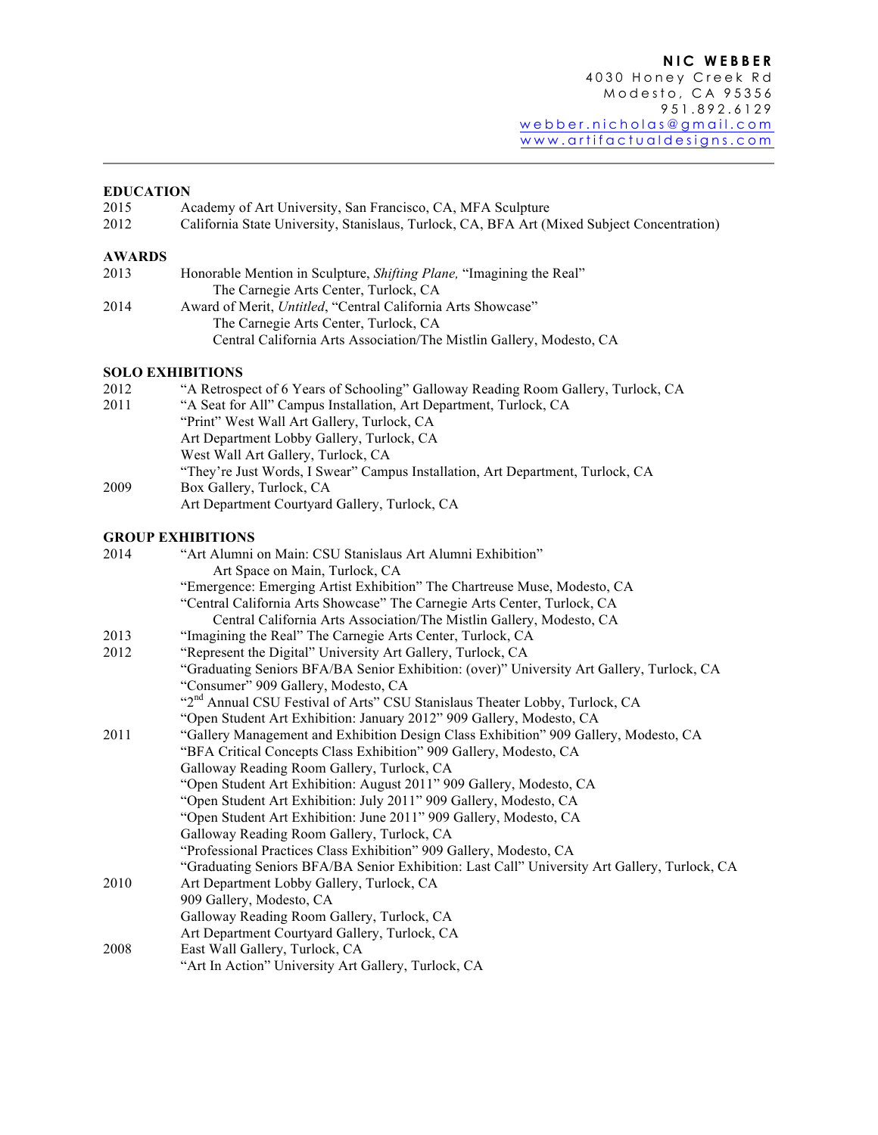#### **EDUCATION**

| 2015          | Academy of Art University, San Francisco, CA, MFA Sculpture                                 |
|---------------|---------------------------------------------------------------------------------------------|
| 2012          | California State University, Stanislaus, Turlock, CA, BFA Art (Mixed Subject Concentration) |
| <b>AWARDS</b> |                                                                                             |
| 2013          | Honorable Mention in Sculpture, <i>Shifting Plane</i> , "Imagining the Real"                |
|               | The Carnegie Arts Center, Turlock, CA                                                       |
| 2014          | Award of Merit, Untitled, "Central California Arts Showcase"                                |
|               | The Carnegie Arts Center, Turlock, CA                                                       |
|               | Central California Arts Association/The Mistlin Gallery, Modesto, CA                        |
|               | <b>SOLO EXHIBITIONS</b>                                                                     |
| 2012          | "A Retrospect of 6 Years of Schooling" Galloway Reading Room Gallery, Turlock, CA           |
| 2011          | "A Seat for All" Campus Installation, Art Department, Turlock, CA                           |
|               | "Print" West Wall Art Gallery, Turlock, CA                                                  |
|               | Art Department Lobby Gallery, Turlock, CA                                                   |
|               | West Wall Art Gallery, Turlock, CA                                                          |
|               | $\mathbf{r}$ . It is a second to the second that $\mathbf{r}$                               |

"They're Just Words, I Swear" Campus Installation, Art Department, Turlock, CA 2009 Box Gallery, Turlock, CA Art Department Courtyard Gallery, Turlock, CA

## **GROUP EXHIBITIONS**

| 2014 | "Art Alumni on Main: CSU Stanislaus Art Alumni Exhibition"                                   |
|------|----------------------------------------------------------------------------------------------|
|      | Art Space on Main, Turlock, CA                                                               |
|      | "Emergence: Emerging Artist Exhibition" The Chartreuse Muse, Modesto, CA                     |
|      | "Central California Arts Showcase" The Carnegie Arts Center, Turlock, CA                     |
|      | Central California Arts Association/The Mistlin Gallery, Modesto, CA                         |
| 2013 | "Imagining the Real" The Carnegie Arts Center, Turlock, CA                                   |
| 2012 | "Represent the Digital" University Art Gallery, Turlock, CA                                  |
|      | "Graduating Seniors BFA/BA Senior Exhibition: (over)" University Art Gallery, Turlock, CA    |
|      | "Consumer" 909 Gallery, Modesto, CA                                                          |
|      | "2 <sup>nd</sup> Annual CSU Festival of Arts" CSU Stanislaus Theater Lobby, Turlock, CA      |
|      | "Open Student Art Exhibition: January 2012" 909 Gallery, Modesto, CA                         |
| 2011 | "Gallery Management and Exhibition Design Class Exhibition" 909 Gallery, Modesto, CA         |
|      | "BFA Critical Concepts Class Exhibition" 909 Gallery, Modesto, CA                            |
|      | Galloway Reading Room Gallery, Turlock, CA                                                   |
|      | "Open Student Art Exhibition: August 2011" 909 Gallery, Modesto, CA                          |
|      | "Open Student Art Exhibition: July 2011" 909 Gallery, Modesto, CA                            |
|      | "Open Student Art Exhibition: June 2011" 909 Gallery, Modesto, CA                            |
|      | Galloway Reading Room Gallery, Turlock, CA                                                   |
|      | "Professional Practices Class Exhibition" 909 Gallery, Modesto, CA                           |
|      | "Graduating Seniors BFA/BA Senior Exhibition: Last Call" University Art Gallery, Turlock, CA |
| 2010 | Art Department Lobby Gallery, Turlock, CA                                                    |
|      | 909 Gallery, Modesto, CA                                                                     |
|      | Galloway Reading Room Gallery, Turlock, CA                                                   |
|      | Art Department Courtyard Gallery, Turlock, CA                                                |
| 2008 | East Wall Gallery, Turlock, CA                                                               |
|      | "Art In Action" University Art Gallery, Turlock, CA                                          |